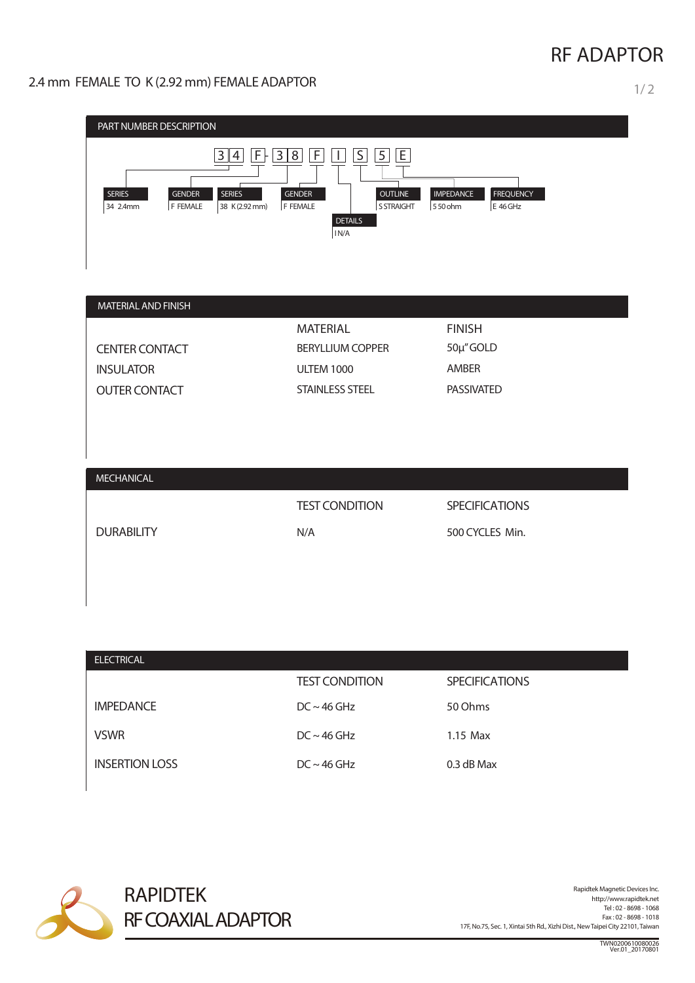## **RF ADAPTOR**

2.4 mm FEMALE TO K (2.92 mm) FEMALE ADAPTOR 1/2

| PART NUMBER DESCRIPTION                                                                                                                |                                                                                                                                                                       |                                                             |  |
|----------------------------------------------------------------------------------------------------------------------------------------|-----------------------------------------------------------------------------------------------------------------------------------------------------------------------|-------------------------------------------------------------|--|
| $F +$<br>$\overline{3}$<br>$\overline{4}$<br><b>SERIES</b><br><b>GENDER</b><br><b>SERIES</b><br>F FEMALE<br>34 2.4mm<br>38 K (2.92 mm) | $\overline{S}$<br>$\overline{5}$<br>E<br>F<br>3<br>8 <sup>1</sup><br>I.<br><b>GENDER</b><br><b>OUTLINE</b><br>F FEMALE<br><b>S STRAIGHT</b><br><b>DETAILS</b><br>IN/A | <b>IMPEDANCE</b><br><b>FREQUENCY</b><br>E 46 GHz<br>550 ohm |  |
| MATERIAL AND FINISH                                                                                                                    |                                                                                                                                                                       |                                                             |  |
|                                                                                                                                        | <b>MATERIAL</b>                                                                                                                                                       | <b>FINISH</b>                                               |  |
| <b>CENTER CONTACT</b>                                                                                                                  | <b>BERYLLIUM COPPER</b>                                                                                                                                               | 50µ"GOLD                                                    |  |
| <b>INSULATOR</b>                                                                                                                       | <b>ULTEM 1000</b>                                                                                                                                                     | AMBER                                                       |  |
| <b>OUTER CONTACT</b>                                                                                                                   | <b>STAINLESS STEEL</b>                                                                                                                                                | <b>PASSIVATED</b>                                           |  |
|                                                                                                                                        |                                                                                                                                                                       |                                                             |  |
| <b>MECHANICAL</b>                                                                                                                      |                                                                                                                                                                       |                                                             |  |
|                                                                                                                                        | <b>TEST CONDITION</b>                                                                                                                                                 | <b>SPECIFICATIONS</b>                                       |  |
| <b>DURABILITY</b>                                                                                                                      | N/A                                                                                                                                                                   | 500 CYCLES Min.                                             |  |
|                                                                                                                                        |                                                                                                                                                                       |                                                             |  |

| <b>ELECTRICAL</b>     |                          |                       |
|-----------------------|--------------------------|-----------------------|
|                       | <b>TEST CONDITION</b>    | <b>SPECIFICATIONS</b> |
| <b>IMPEDANCE</b>      | $DC \sim 46 \text{ GHz}$ | 50 Ohms               |
| <b>VSWR</b>           | $DC \sim 46 \text{ GHz}$ | $1.15$ Max            |
| <b>INSERTION LOSS</b> | $DC \sim 46 \text{ GHz}$ | $0.3$ dB Max          |



Rapidtek Magnetic Devices Inc.<br>http://www.rapidtek.net Tel : 02 - 8698 - 1068 Fax : 02 - 8698 - 1018 17F, No.75, Sec. 1, Xintai 5th Rd., Xizhi Dist., NewTaipei City 22101,Taiwan